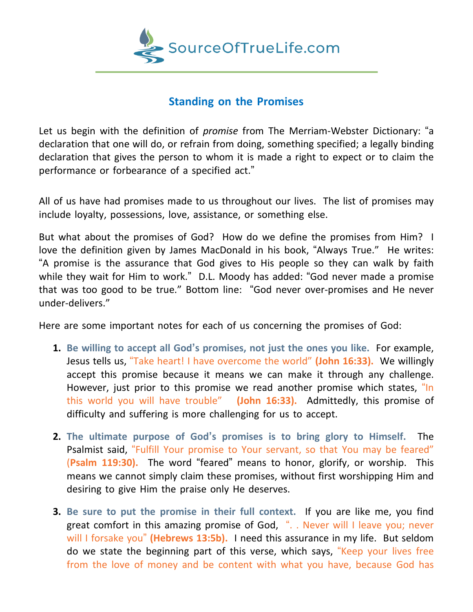

## **Standing on the Promises**

Let us begin with the definition of *promise* from The Merriam-Webster Dictionary: "a declaration that one will do, or refrain from doing, something specified; a legally binding declaration that gives the person to whom it is made a right to expect or to claim the performance or forbearance of a specified act."

All of us have had promises made to us throughout our lives. The list of promises may include loyalty, possessions, love, assistance, or something else.

But what about the promises of God? How do we define the promises from Him? I love the definition given by James MacDonald in his book, "Always True." He writes: "A promise is the assurance that God gives to His people so they can walk by faith while they wait for Him to work." D.L. Moody has added: "God never made a promise that was too good to be true." Bottom line: "God never over-promises and He never under-delivers."

Here are some important notes for each of us concerning the promises of God:

- **1. Be willing to accept all God's promises, not just the ones you like.** For example, Jesus tells us, "Take heart! I have overcome the world" **(John 16:33).** We willingly accept this promise because it means we can make it through any challenge. However, just prior to this promise we read another promise which states, "In this world you will have trouble" **(John 16:33).** Admittedly, this promise of difficulty and suffering is more challenging for us to accept.
- **2. The ultimate purpose of God's promises is to bring glory to Himself.** The Psalmist said, "Fulfill Your promise to Your servant, so that You may be feared" (**Psalm 119:30).** The word "feared" means to honor, glorify, or worship. This means we cannot simply claim these promises, without first worshipping Him and desiring to give Him the praise only He deserves.
- **3. Be sure to put the promise in their full context.** If you are like me, you find great comfort in this amazing promise of God, ". . Never will I leave you; never will I forsake you" **(Hebrews 13:5b).** I need this assurance in my life. But seldom do we state the beginning part of this verse, which says, "Keep your lives free from the love of money and be content with what you have, because God has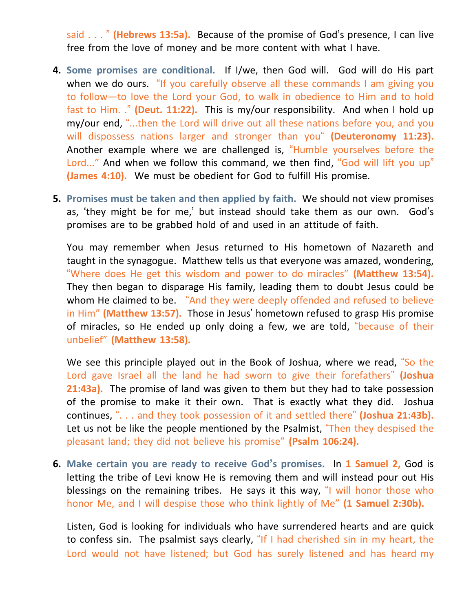said . . . " **(Hebrews 13:5a).** Because of the promise of God's presence, I can live free from the love of money and be more content with what I have.

- **4. Some promises are conditional.** If I/we, then God will. God will do His part when we do ours. "If you carefully observe all these commands I am giving you to follow—to love the Lord your God, to walk in obedience to Him and to hold fast to Him. ." **(Deut. 11:22).** This is my/our responsibility. And when I hold up my/our end, "...then the Lord will drive out all these nations before you, and you will dispossess nations larger and stronger than you" **(Deuteronomy 11:23).** Another example where we are challenged is, "Humble yourselves before the Lord..." And when we follow this command, we then find, "God will lift you up" **(James 4:10).** We must be obedient for God to fulfill His promise.
- **5. Promises must be taken and then applied by faith.** We should not view promises as, 'they might be for me,' but instead should take them as our own. God's promises are to be grabbed hold of and used in an attitude of faith.

You may remember when Jesus returned to His hometown of Nazareth and taught in the synagogue. Matthew tells us that everyone was amazed, wondering, "Where does He get this wisdom and power to do miracles" **(Matthew 13:54).** They then began to disparage His family, leading them to doubt Jesus could be whom He claimed to be. "And they were deeply offended and refused to believe in Him" **(Matthew 13:57).** Those in Jesus' hometown refused to grasp His promise of miracles, so He ended up only doing a few, we are told, "because of their unbelief" **(Matthew 13:58).**

We see this principle played out in the Book of Joshua, where we read, "So the Lord gave Israel all the land he had sworn to give their forefathers" **(Joshua 21:43a).** The promise of land was given to them but they had to take possession of the promise to make it their own. That is exactly what they did. Joshua continues, ". . . and they took possession of it and settled there" **(Joshua 21:43b).** Let us not be like the people mentioned by the Psalmist, "Then they despised the pleasant land; they did not believe his promise" **(Psalm 106:24).**

**6. Make certain you are ready to receive God's promises.** In **1 Samuel 2,** God is letting the tribe of Levi know He is removing them and will instead pour out His blessings on the remaining tribes. He says it this way, "I will honor those who honor Me, and I will despise those who think lightly of Me" **(1 Samuel 2:30b).**

Listen, God is looking for individuals who have surrendered hearts and are quick to confess sin. The psalmist says clearly, "If I had cherished sin in my heart, the Lord would not have listened; but God has surely listened and has heard my